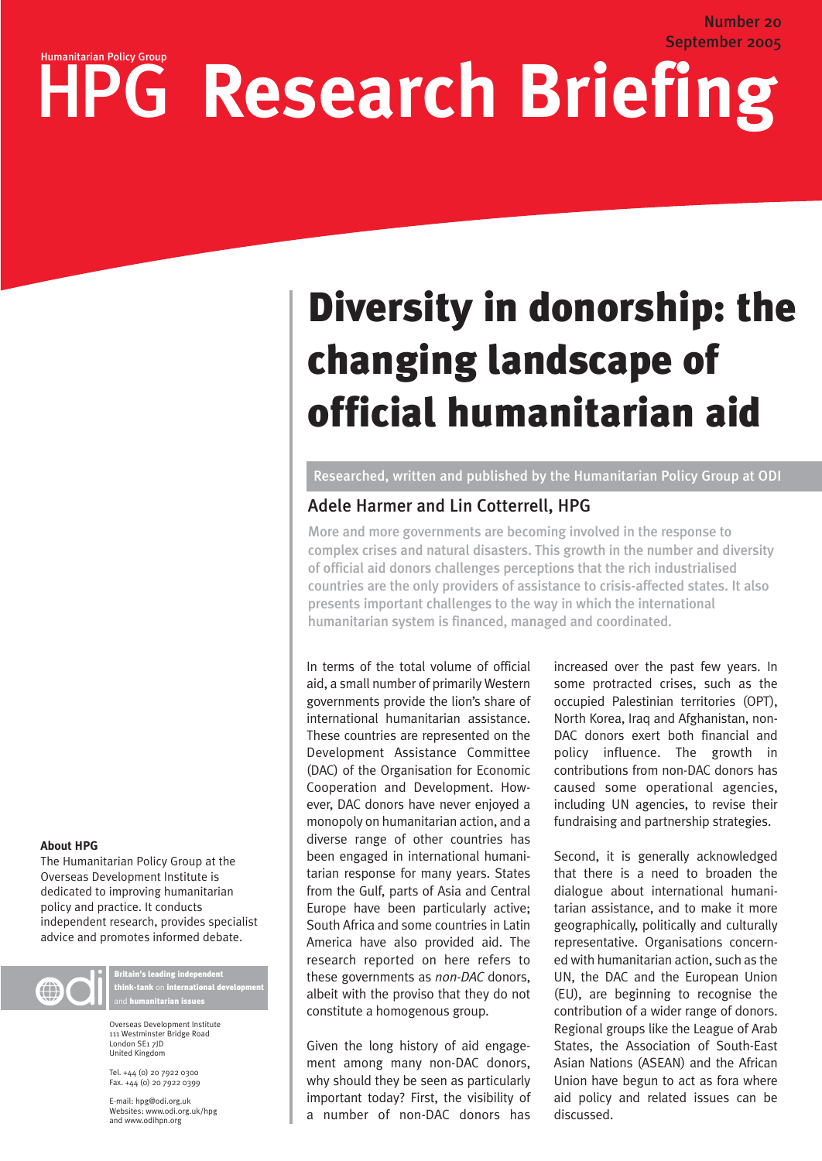# September 2005 HPG Research Briefing

# Diversity in donorship: the changing landscape of official humanitarian aid

Researched, written and published by the Humanitarian Policy Group at ODI

# Adele Harmer and Lin Cotterrell, HPG

More and more governments are becoming involved in the response to complex crises and natural disasters. This growth in the number and diversity of official aid donors challenges perceptions that the rich industrialised countries are the only providers of assistance to crisis-affected states. It also presents important challenges to the way in which the international humanitarian system is financed, managed and coordinated.

In terms of the total volume of official aid, a small number of primarily Western governments provide the lion's share of international humanitarian assistance. These countries are represented on the Development Assistance Committee (DAC) of the Organisation for Economic Cooperation and Development. However, DAC donors have never enjoyed a monopoly on humanitarian action, and a diverse range of other countries has been engaged in international humanitarian response for many years. States from the Gulf, parts of Asia and Central Europe have been particularly active; South Africa and some countries in Latin America have also provided aid. The research reported on here refers to these governments as *non-DAC* donors, albeit with the proviso that they do not constitute a homogenous group.

Given the long history of aid engagement among many non-DAC donors, why should they be seen as particularly important today? First, the visibility of a number of non-DAC donors has increased over the past few years. In some protracted crises, such as the occupied Palestinian territories (OPT), North Korea, Iraq and Afghanistan, non-DAC donors exert both financial and policy influence. The growth in contributions from non-DAC donors has caused some operational agencies, including UN agencies, to revise their fundraising and partnership strategies.

Number 20

Second, it is generally acknowledged that there is a need to broaden the dialogue about international humanitarian assistance, and to make it more geographically, politically and culturally representative. Organisations concerned with humanitarian action, such as the UN, the DAC and the European Union (EU), are beginning to recognise the contribution of a wider range of donors. Regional groups like the League of Arab States, the Association of South-East Asian Nations (ASEAN) and the African Union have begun to act as fora where aid policy and related issues can be discussed.

#### **About HPG**

The Humanitarian Policy Group at the Overseas Development Institute is dedicated to improving humanitarian policy and practice. It conducts independent research, provides specialist advice and promotes informed debate.



Britain's leading independent think-tank on international development and **humanitarian issues** 

Overseas Development Institute 111 Westminster Bridge Road London SE1 7JD United Kingdom

Tel. +44 (0) 20 7922 0300 Fax. +44 (0) 20 7922 0399

E-mail: hpg@odi.org.uk Websites: www.odi.org.uk/hpg and www.odihpn.org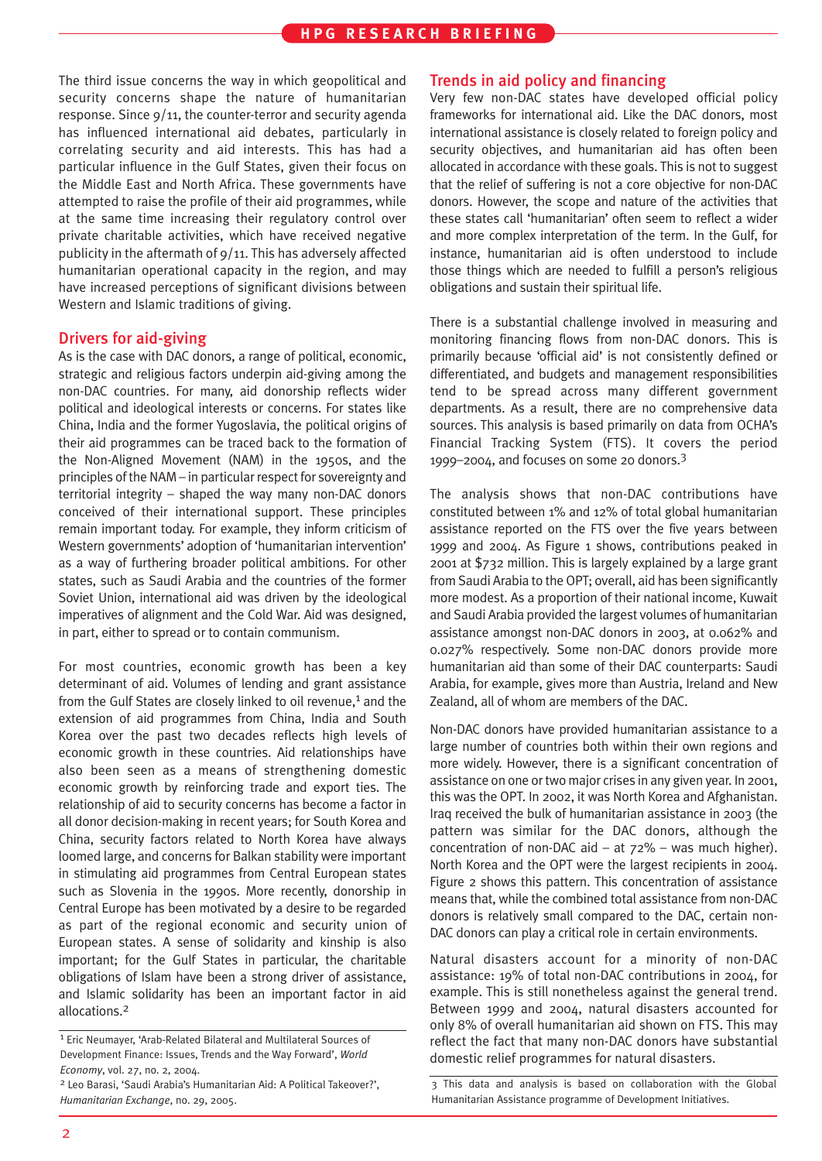The third issue concerns the way in which geopolitical and security concerns shape the nature of humanitarian response. Since 9/11, the counter-terror and security agenda has influenced international aid debates, particularly in correlating security and aid interests. This has had a particular influence in the Gulf States, given their focus on the Middle East and North Africa. These governments have attempted to raise the profile of their aid programmes, while at the same time increasing their regulatory control over private charitable activities, which have received negative publicity in the aftermath of 9/11. This has adversely affected humanitarian operational capacity in the region, and may have increased perceptions of significant divisions between Western and Islamic traditions of giving.

#### Drivers for aid-giving

As is the case with DAC donors, a range of political, economic, strategic and religious factors underpin aid-giving among the non-DAC countries. For many, aid donorship reflects wider political and ideological interests or concerns. For states like China, India and the former Yugoslavia, the political origins of their aid programmes can be traced back to the formation of the Non-Aligned Movement (NAM) in the 1950s, and the principles of the NAM – in particular respect for sovereignty and territorial integrity – shaped the way many non-DAC donors conceived of their international support. These principles remain important today. For example, they inform criticism of Western governments' adoption of 'humanitarian intervention' as a way of furthering broader political ambitions. For other states, such as Saudi Arabia and the countries of the former Soviet Union, international aid was driven by the ideological imperatives of alignment and the Cold War. Aid was designed, in part, either to spread or to contain communism.

For most countries, economic growth has been a key determinant of aid. Volumes of lending and grant assistance from the Gulf States are closely linked to oil revenue,<sup>1</sup> and the extension of aid programmes from China, India and South Korea over the past two decades reflects high levels of economic growth in these countries. Aid relationships have also been seen as a means of strengthening domestic economic growth by reinforcing trade and export ties. The relationship of aid to security concerns has become a factor in all donor decision-making in recent years; for South Korea and China, security factors related to North Korea have always loomed large, and concerns for Balkan stability were important in stimulating aid programmes from Central European states such as Slovenia in the 1990s. More recently, donorship in Central Europe has been motivated by a desire to be regarded as part of the regional economic and security union of European states. A sense of solidarity and kinship is also important; for the Gulf States in particular, the charitable obligations of Islam have been a strong driver of assistance, and Islamic solidarity has been an important factor in aid allocations.2

## Trends in aid policy and financing

Very few non-DAC states have developed official policy frameworks for international aid. Like the DAC donors, most international assistance is closely related to foreign policy and security objectives, and humanitarian aid has often been allocated in accordance with these goals. This is not to suggest that the relief of suffering is not a core objective for non-DAC donors. However, the scope and nature of the activities that these states call 'humanitarian' often seem to reflect a wider and more complex interpretation of the term. In the Gulf, for instance, humanitarian aid is often understood to include those things which are needed to fulfill a person's religious obligations and sustain their spiritual life.

There is a substantial challenge involved in measuring and monitoring financing flows from non-DAC donors. This is primarily because 'official aid' is not consistently defined or differentiated, and budgets and management responsibilities tend to be spread across many different government departments. As a result, there are no comprehensive data sources. This analysis is based primarily on data from OCHA's Financial Tracking System (FTS). It covers the period 1999–2004, and focuses on some 20 donors.3

The analysis shows that non-DAC contributions have constituted between 1% and 12% of total global humanitarian assistance reported on the FTS over the five years between 1999 and 2004. As Figure 1 shows, contributions peaked in 2001 at \$732 million. This is largely explained by a large grant from Saudi Arabia to the OPT; overall, aid has been significantly more modest. As a proportion of their national income, Kuwait and Saudi Arabia provided the largest volumes of humanitarian assistance amongst non-DAC donors in 2003, at 0.062% and 0.027% respectively. Some non-DAC donors provide more humanitarian aid than some of their DAC counterparts: Saudi Arabia, for example, gives more than Austria, Ireland and New Zealand, all of whom are members of the DAC.

Non-DAC donors have provided humanitarian assistance to a large number of countries both within their own regions and more widely. However, there is a significant concentration of assistance on one or two major crises in any given year. In 2001, this was the OPT. In 2002, it was North Korea and Afghanistan. Iraq received the bulk of humanitarian assistance in 2003 (the pattern was similar for the DAC donors, although the concentration of non-DAC aid – at  $72\%$  – was much higher). North Korea and the OPT were the largest recipients in 2004. Figure 2 shows this pattern. This concentration of assistance means that, while the combined total assistance from non-DAC donors is relatively small compared to the DAC, certain non-DAC donors can play a critical role in certain environments.

Natural disasters account for a minority of non-DAC assistance: 19% of total non-DAC contributions in 2004, for example. This is still nonetheless against the general trend. Between 1999 and 2004, natural disasters accounted for only 8% of overall humanitarian aid shown on FTS. This may reflect the fact that many non-DAC donors have substantial domestic relief programmes for natural disasters.

3 This data and analysis is based on collaboration with the Global Humanitarian Assistance programme of Development Initiatives.

<sup>1</sup> Eric Neumayer, 'Arab-Related Bilateral and Multilateral Sources of Development Finance: Issues, Trends and the Way Forward', *World Economy*, vol. 27, no. 2, 2004.

<sup>2</sup> Leo Barasi, 'Saudi Arabia's Humanitarian Aid: A Political Takeover?', *Humanitarian Exchange*, no. 29, 2005.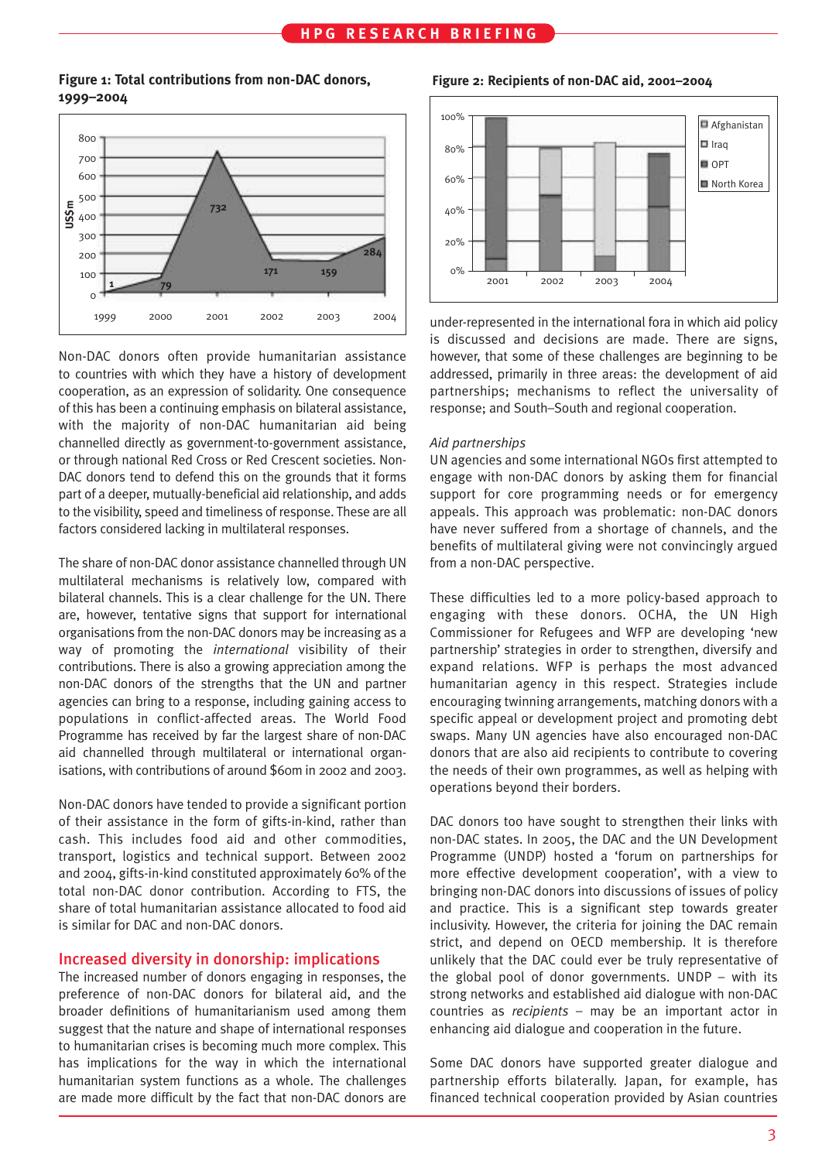# **HPG RESEARCH BRIEFING**

## **Figure 1: Total contributions from non-DAC donors, 1999–2004**



Non-DAC donors often provide humanitarian assistance to countries with which they have a history of development cooperation, as an expression of solidarity. One consequence of this has been a continuing emphasis on bilateral assistance, with the majority of non-DAC humanitarian aid being channelled directly as government-to-government assistance, or through national Red Cross or Red Crescent societies. Non-DAC donors tend to defend this on the grounds that it forms part of a deeper, mutually-beneficial aid relationship, and adds to the visibility, speed and timeliness of response. These are all factors considered lacking in multilateral responses.

The share of non-DAC donor assistance channelled through UN multilateral mechanisms is relatively low, compared with bilateral channels. This is a clear challenge for the UN. There are, however, tentative signs that support for international organisations from the non-DAC donors may be increasing as a way of promoting the *international* visibility of their contributions. There is also a growing appreciation among the non-DAC donors of the strengths that the UN and partner agencies can bring to a response, including gaining access to populations in conflict-affected areas. The World Food Programme has received by far the largest share of non-DAC aid channelled through multilateral or international organisations, with contributions of around \$60m in 2002 and 2003.

Non-DAC donors have tended to provide a significant portion of their assistance in the form of gifts-in-kind, rather than cash. This includes food aid and other commodities, transport, logistics and technical support. Between 2002 and 2004, gifts-in-kind constituted approximately 60% of the total non-DAC donor contribution. According to FTS, the share of total humanitarian assistance allocated to food aid is similar for DAC and non-DAC donors.

### Increased diversity in donorship: implications

The increased number of donors engaging in responses, the preference of non-DAC donors for bilateral aid, and the broader definitions of humanitarianism used among them suggest that the nature and shape of international responses to humanitarian crises is becoming much more complex. This has implications for the way in which the international humanitarian system functions as a whole. The challenges are made more difficult by the fact that non-DAC donors are

**Figure 2: Recipients of non-DAC aid, 2001–2004**



under-represented in the international fora in which aid policy is discussed and decisions are made. There are signs, however, that some of these challenges are beginning to be addressed, primarily in three areas: the development of aid partnerships; mechanisms to reflect the universality of response; and South–South and regional cooperation.

#### *Aid partnerships*

UN agencies and some international NGOs first attempted to engage with non-DAC donors by asking them for financial support for core programming needs or for emergency appeals. This approach was problematic: non-DAC donors have never suffered from a shortage of channels, and the benefits of multilateral giving were not convincingly argued from a non-DAC perspective.

These difficulties led to a more policy-based approach to engaging with these donors. OCHA, the UN High Commissioner for Refugees and WFP are developing 'new partnership' strategies in order to strengthen, diversify and expand relations. WFP is perhaps the most advanced humanitarian agency in this respect. Strategies include encouraging twinning arrangements, matching donors with a specific appeal or development project and promoting debt swaps. Many UN agencies have also encouraged non-DAC donors that are also aid recipients to contribute to covering the needs of their own programmes, as well as helping with operations beyond their borders.

DAC donors too have sought to strengthen their links with non-DAC states. In 2005, the DAC and the UN Development Programme (UNDP) hosted a 'forum on partnerships for more effective development cooperation', with a view to bringing non-DAC donors into discussions of issues of policy and practice. This is a significant step towards greater inclusivity. However, the criteria for joining the DAC remain strict, and depend on OECD membership. It is therefore unlikely that the DAC could ever be truly representative of the global pool of donor governments. UNDP – with its strong networks and established aid dialogue with non-DAC countries as *recipients* – may be an important actor in enhancing aid dialogue and cooperation in the future.

Some DAC donors have supported greater dialogue and partnership efforts bilaterally. Japan, for example, has financed technical cooperation provided by Asian countries